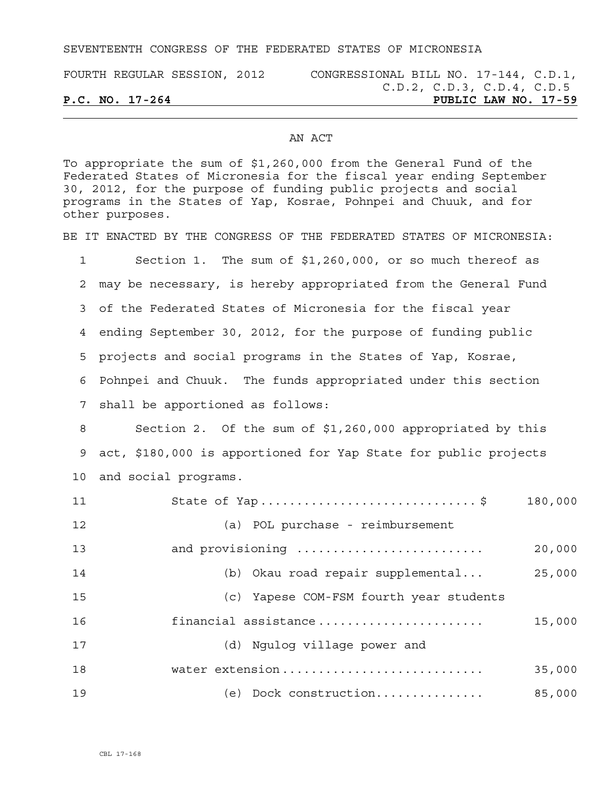SEVENTEENTH CONGRESS OF THE FEDERATED STATES OF MICRONESIA

| FOURTH REGULAR SESSION, 2012 |  | CONGRESSIONAL BILL NO. 17-144, C.D.1, |  |                            |  |
|------------------------------|--|---------------------------------------|--|----------------------------|--|
|                              |  |                                       |  | C.D.2, C.D.3, C.D.4, C.D.5 |  |
| $P.C. NO. 17-264$            |  |                                       |  | PUBLIC LAW NO. 17-59       |  |

## AN ACT

To appropriate the sum of \$1,260,000 from the General Fund of the Federated States of Micronesia for the fiscal year ending September 30, 2012, for the purpose of funding public projects and social programs in the States of Yap, Kosrae, Pohnpei and Chuuk, and for other purposes.

BE IT ENACTED BY THE CONGRESS OF THE FEDERATED STATES OF MICRONESIA:

| $\mathbf 1$ | Section 1. The sum of $$1,260,000$ , or so much thereof as      |
|-------------|-----------------------------------------------------------------|
| 2           | may be necessary, is hereby appropriated from the General Fund  |
| 3           | of the Federated States of Micronesia for the fiscal year       |
| 4           | ending September 30, 2012, for the purpose of funding public    |
| 5           | projects and social programs in the States of Yap, Kosrae,      |
| 6           | Pohnpei and Chuuk. The funds appropriated under this section    |
| 7           | shall be apportioned as follows:                                |
| 8           | Section 2. Of the sum of \$1,260,000 appropriated by this       |
| 9           | act, \$180,000 is apportioned for Yap State for public projects |
| 10          | and social programs.                                            |
| 11          | State of Yap \$<br>180,000                                      |
| 12          | (a) POL purchase - reimbursement                                |
| 13          | and provisioning<br>20,000                                      |
| 14          | (b) Okau road repair supplemental<br>25,000                     |
| 15          | (c) Yapese COM-FSM fourth year students                         |
| 16          | financial assistance<br>15,000                                  |
| 17          | (d) Ngulog village power and                                    |
| 18          | water extension<br>35,000                                       |
| 19          | (e) Dock construction<br>85,000                                 |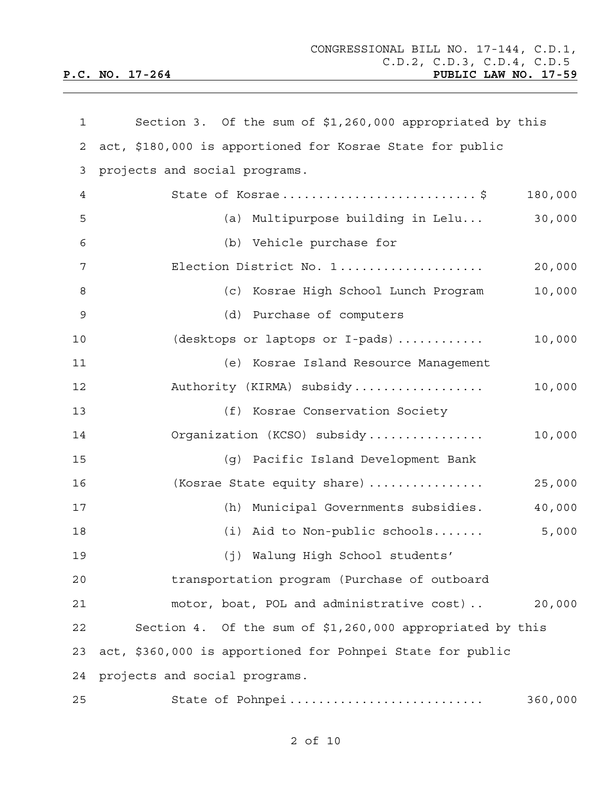| 1           | Section 3. Of the sum of \$1,260,000 appropriated by this  |  |
|-------------|------------------------------------------------------------|--|
| 2           | act, \$180,000 is apportioned for Kosrae State for public  |  |
| 3           | projects and social programs.                              |  |
| 4           | State of Kosrae\$<br>180,000                               |  |
| 5           | (a) Multipurpose building in Lelu<br>30,000                |  |
| 6           | (b) Vehicle purchase for                                   |  |
| 7           | Election District No. 1<br>20,000                          |  |
| 8           | (c) Kosrae High School Lunch Program<br>10,000             |  |
| $\mathsf 9$ | (d) Purchase of computers                                  |  |
| 10          | (desktops or laptops or I-pads)<br>10,000                  |  |
| 11          | (e) Kosrae Island Resource Management                      |  |
| 12          | Authority (KIRMA) subsidy<br>10,000                        |  |
| 13          | (f) Kosrae Conservation Society                            |  |
| 14          | Organization (KCSO) subsidy<br>10,000                      |  |
| 15          | (g) Pacific Island Development Bank                        |  |
| 16          | (Kosrae State equity share)<br>25,000                      |  |
| 17          | (h) Municipal Governments subsidies.<br>40,000             |  |
| 18          | 5,000<br>$(i)$ Aid to Non-public schools                   |  |
| 19          | (j) Walung High School students'                           |  |
| 20          | transportation program (Purchase of outboard               |  |
| 21          | motor, boat, POL and administrative cost)<br>20,000        |  |
| 22          | Section 4. Of the sum of \$1,260,000 appropriated by this  |  |
| 23          | act, \$360,000 is apportioned for Pohnpei State for public |  |
| 24          | projects and social programs.                              |  |
| 25          | 360,000<br>State of Pohnpei                                |  |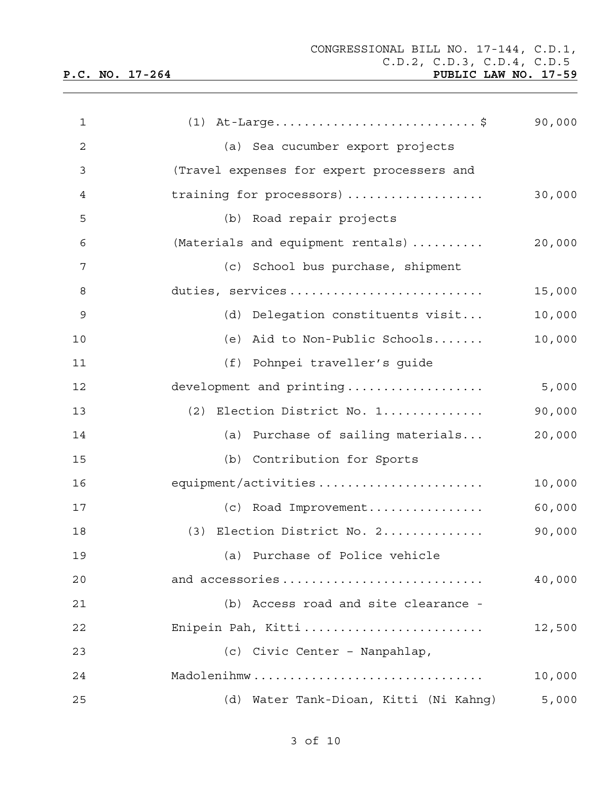| 1  | $(1)$ At-Large\$                           | 90,000 |
|----|--------------------------------------------|--------|
| 2  | (a) Sea cucumber export projects           |        |
| 3  | (Travel expenses for expert processers and |        |
| 4  | training for processors)                   | 30,000 |
| 5  | (b) Road repair projects                   |        |
| 6  | (Materials and equipment rentals)          | 20,000 |
| 7  | (c) School bus purchase, shipment          |        |
| 8  | duties, services                           | 15,000 |
| 9  | (d) Delegation constituents visit          | 10,000 |
| 10 | (e) Aid to Non-Public Schools              | 10,000 |
| 11 | (f) Pohnpei traveller's guide              |        |
| 12 | development and printing                   | 5,000  |
| 13 | (2) Election District No. 1                | 90,000 |
| 14 | (a) Purchase of sailing materials          | 20,000 |
| 15 | (b) Contribution for Sports                |        |
| 16 | equipment/activities                       | 10,000 |
| 17 | (c) Road Improvement                       | 60,000 |
| 18 | (3) Election District No. 2                | 90,000 |
| 19 | (a) Purchase of Police vehicle             |        |
| 20 | and accessories                            | 40,000 |
| 21 | (b) Access road and site clearance -       |        |
| 22 | Enipein Pah, Kitti                         | 12,500 |
| 23 | (c) Civic Center - Nanpahlap,              |        |
| 24 | Madolenihmw                                | 10,000 |
| 25 | Water Tank-Dioan, Kitti (Ni Kahng)<br>(d)  | 5,000  |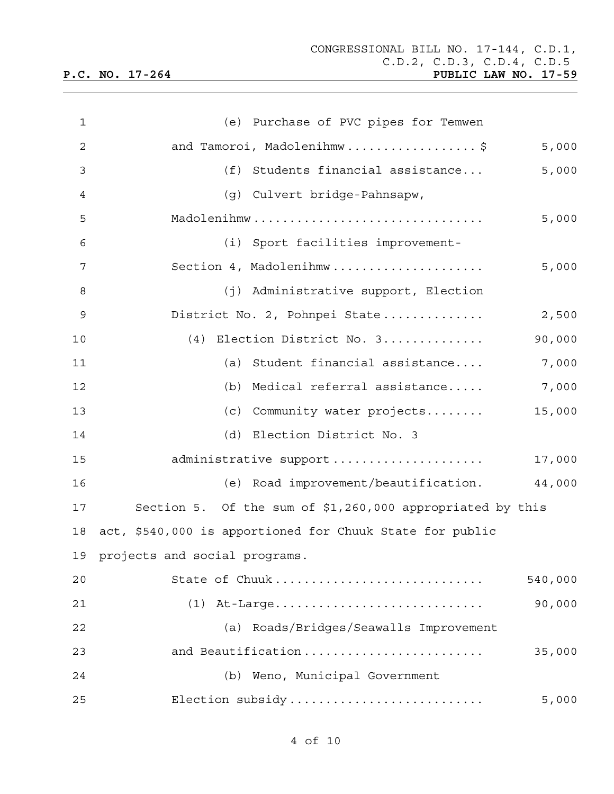| 1  | (e) Purchase of PVC pipes for Temwen                      |         |
|----|-----------------------------------------------------------|---------|
| 2  | and Tamoroi, Madolenihmw\$                                | 5,000   |
| 3  | (f) Students financial assistance                         | 5,000   |
| 4  | (g) Culvert bridge-Pahnsapw,                              |         |
| 5  | Madolenihmw                                               | 5,000   |
| 6  | (i) Sport facilities improvement-                         |         |
| 7  | Section 4, Madolenihmw                                    | 5,000   |
| 8  | (j) Administrative support, Election                      |         |
| 9  | District No. 2, Pohnpei State                             | 2,500   |
| 10 | (4) Election District No. 3                               | 90,000  |
| 11 | (a) Student financial assistance                          | 7,000   |
| 12 | (b) Medical referral assistance                           | 7,000   |
| 13 | (c) Community water projects                              | 15,000  |
| 14 | (d) Election District No. 3                               |         |
| 15 | administrative support                                    | 17,000  |
| 16 | (e) Road improvement/beautification.                      | 44,000  |
| 17 | Section 5. Of the sum of \$1,260,000 appropriated by this |         |
| 18 | act, \$540,000 is apportioned for Chuuk State for public  |         |
|    | 19 projects and social programs.                          |         |
| 20 | State of Chuuk                                            | 540,000 |
| 21 | $(1)$ At-Large                                            | 90,000  |
| 22 | (a) Roads/Bridges/Seawalls Improvement                    |         |
| 23 | and Beautification                                        | 35,000  |
| 24 | (b) Weno, Municipal Government                            |         |
| 25 | Election subsidy                                          | 5,000   |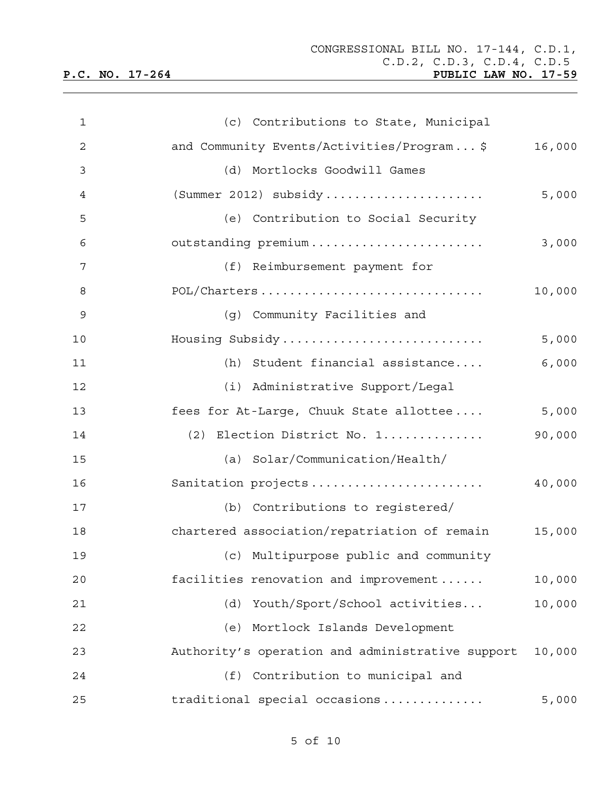| $\mathbf{1}$ | (c) Contributions to State, Municipal                      |
|--------------|------------------------------------------------------------|
| 2            | and Community Events/Activities/Program\$<br>16,000        |
| 3            | (d)<br>Mortlocks Goodwill Games                            |
| 4            | (Summer 2012) $subsidy$<br>5,000                           |
| 5            | (e) Contribution to Social Security                        |
| 6            | outstanding premium<br>3,000                               |
| 7            | (f) Reimbursement payment for                              |
| 8            | POL/Charters<br>10,000                                     |
| 9            | (g) Community Facilities and                               |
| 10           | Housing Subsidy<br>5,000                                   |
| 11           | Student financial assistance<br>(h)<br>6,000               |
| 12           | (i) Administrative Support/Legal                           |
| 13           | fees for At-Large, Chuuk State allottee<br>5,000           |
| 14           | Election District No. 1<br>90,000<br>(2)                   |
| 15           | (a) Solar/Communication/Health/                            |
| 16           | Sanitation projects<br>40,000                              |
| 17           | (b) Contributions to registered/                           |
| 18           | chartered association/repatriation of remain<br>15,000     |
| 19           | (c) Multipurpose public and community                      |
| 20           | facilities renovation and improvement<br>10,000            |
| 21           | Youth/Sport/School activities<br>(d)<br>10,000             |
| 22           | (e) Mortlock Islands Development                           |
| 23           | Authority's operation and administrative support<br>10,000 |
| 24           | (f) Contribution to municipal and                          |
| 25           | traditional special occasions<br>5,000                     |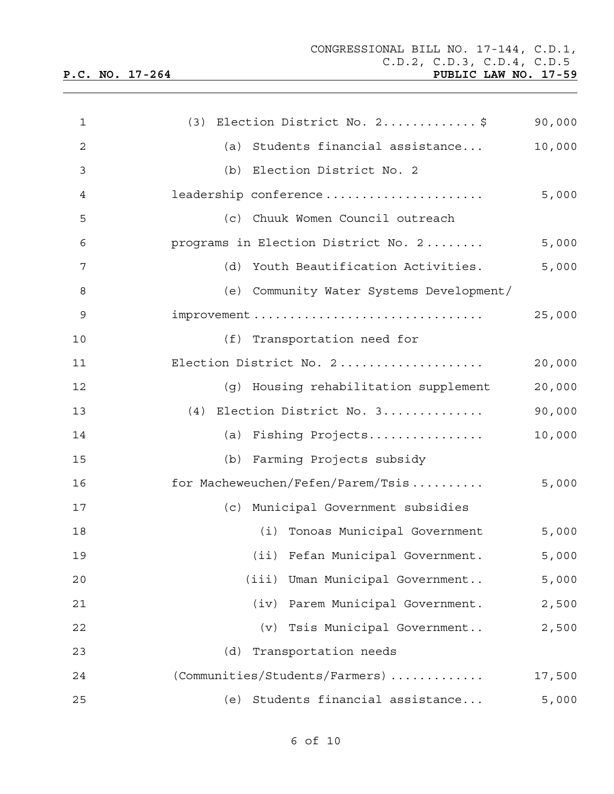| ___ | ⊥AW | ----<br>NO. | — <i>1</i> |
|-----|-----|-------------|------------|
|     |     |             |            |
|     |     |             |            |

| $\mathbf{1}$   | (3) Election District No. $2 \ldots \ldots \ldots$ | 90,000 |
|----------------|----------------------------------------------------|--------|
| $\overline{2}$ | (a) Students financial assistance                  | 10,000 |
| 3              | (b) Election District No. 2                        |        |
| 4              | leadership conference                              | 5,000  |
| 5              | (c) Chuuk Women Council outreach                   |        |
| 6              | programs in Election District No. 2                | 5,000  |
| 7              | (d) Youth Beautification Activities.               | 5,000  |
| 8              | (e) Community Water Systems Development/           |        |
| $\mathsf 9$    |                                                    | 25,000 |
| 10             | (f) Transportation need for                        |        |
| 11             | Election District No. 2                            | 20,000 |
| 12             | (g) Housing rehabilitation supplement              | 20,000 |
| 13             | (4) Election District No. 3                        | 90,000 |
| 14             | (a) Fishing Projects                               | 10,000 |
| 15             | (b) Farming Projects subsidy                       |        |
| 16             | for Macheweuchen/Fefen/Parem/Tsis                  | 5,000  |
| 17             | (c) Municipal Government subsidies                 |        |
| 18             | (i) Tonoas Municipal Government                    | 5,000  |
| 19             | (ii) Fefan Municipal Government.                   | 5,000  |
| 20             | (iii) Uman Municipal Government                    | 5,000  |
| 21             | (iv) Parem Municipal Government.                   | 2,500  |
| 22             | (v) Tsis Municipal Government                      | 2,500  |
| 23             | (d)<br>Transportation needs                        |        |
| 24             | (Communities/Students/Farmers)                     | 17,500 |
| 25             | Students financial assistance<br>(e)               | 5,000  |

6 of 10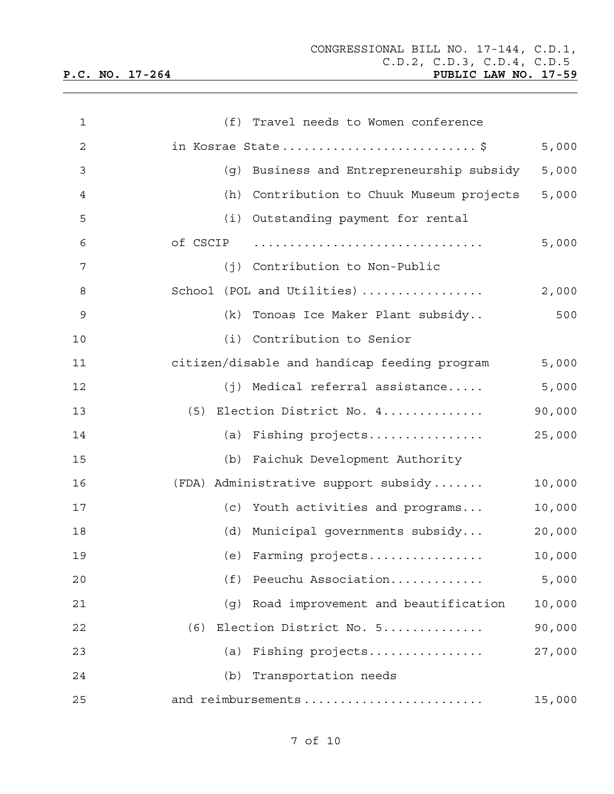| $\mathbf{1}$   | (f) Travel needs to Women conference         |        |
|----------------|----------------------------------------------|--------|
| $\overline{c}$ | in Kosrae State\$                            | 5,000  |
| 3              | (g) Business and Entrepreneurship subsidy    | 5,000  |
| 4              | (h) Contribution to Chuuk Museum projects    | 5,000  |
| 5              | (i) Outstanding payment for rental           |        |
| 6              | of CSCIP                                     | 5,000  |
| 7              | (j) Contribution to Non-Public               |        |
| 8              | School (POL and Utilities)                   | 2,000  |
| $\mathsf 9$    | (k) Tonoas Ice Maker Plant subsidy           | 500    |
| 10             | (i) Contribution to Senior                   |        |
| 11             | citizen/disable and handicap feeding program | 5,000  |
| 12             | $(j)$ Medical referral assistance            | 5,000  |
| 13             | (5) Election District No. 4                  | 90,000 |
| 14             | (a) Fishing projects                         | 25,000 |
| 15             | (b) Faichuk Development Authority            |        |
| 16             | (FDA) Administrative support subsidy         | 10,000 |
| 17             | (c) Youth activities and programs            | 10,000 |
| 18             | Municipal governments subsidy<br>(d)         | 20,000 |
| 19             | (e) Farming projects                         | 10,000 |
| 20             | Peeuchu Association<br>(f)                   | 5,000  |
| 21             | Road improvement and beautification<br>(q)   | 10,000 |
| 22             | Election District No. 5<br>(6)               | 90,000 |
| 23             | Fishing projects<br>(a)                      | 27,000 |
| 24             | Transportation needs<br>(b)                  |        |
| 25             | and reimbursements                           | 15,000 |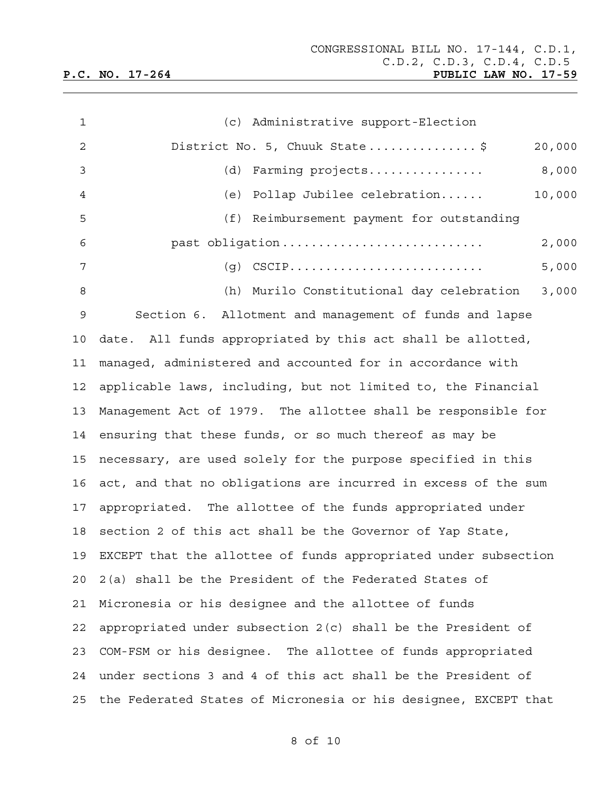| $\mathbf{1}$    | (c) Administrative support-Election                             |
|-----------------|-----------------------------------------------------------------|
| 2               | District No. 5, Chuuk State\$<br>20,000                         |
| 3               | Farming projects<br>8,000<br>(d)                                |
| 4               | Pollap Jubilee celebration<br>10,000<br>(e)                     |
| 5               | (f) Reimbursement payment for outstanding                       |
| 6               | past obligation<br>2,000                                        |
| 7               | 5,000<br>$(q)$ CSCIP                                            |
| 8               | (h) Murilo Constitutional day celebration<br>3,000              |
| 9               | Section 6. Allotment and management of funds and lapse          |
| 10              | date. All funds appropriated by this act shall be allotted,     |
| 11              | managed, administered and accounted for in accordance with      |
| 12 <sub>2</sub> | applicable laws, including, but not limited to, the Financial   |
| 13              | Management Act of 1979. The allottee shall be responsible for   |
| 14              | ensuring that these funds, or so much thereof as may be         |
| 15              | necessary, are used solely for the purpose specified in this    |
| 16              | act, and that no obligations are incurred in excess of the sum  |
| 17              | appropriated. The allottee of the funds appropriated under      |
| 18              | section 2 of this act shall be the Governor of Yap State,       |
| 19              | EXCEPT that the allottee of funds appropriated under subsection |
| 20              | 2(a) shall be the President of the Federated States of          |
| 21              | Micronesia or his designee and the allottee of funds            |
| 22              | appropriated under subsection $2(c)$ shall be the President of  |
| 23              | COM-FSM or his designee. The allottee of funds appropriated     |
| 24              | under sections 3 and 4 of this act shall be the President of    |
| 25              | the Federated States of Micronesia or his designee, EXCEPT that |

8 of 10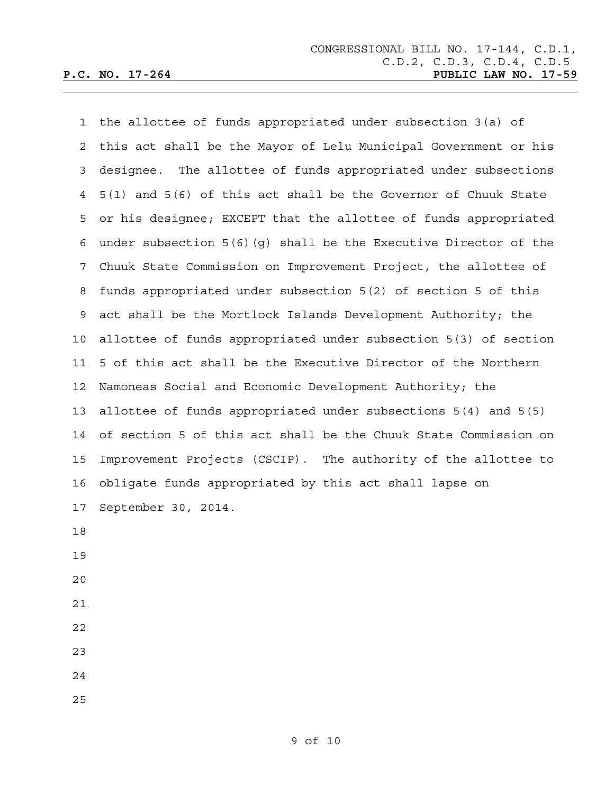1 the allottee of funds appropriated under subsection 3(a) of 2 this act shall be the Mayor of Lelu Municipal Government or his 3 designee. The allottee of funds appropriated under subsections 4 5(1) and 5(6) of this act shall be the Governor of Chuuk State 5 or his designee; EXCEPT that the allottee of funds appropriated 6 under subsection 5(6)(g) shall be the Executive Director of the 7 Chuuk State Commission on Improvement Project, the allottee of 8 funds appropriated under subsection 5(2) of section 5 of this 9 act shall be the Mortlock Islands Development Authority; the 10 allottee of funds appropriated under subsection 5(3) of section 11 5 of this act shall be the Executive Director of the Northern 12 Namoneas Social and Economic Development Authority; the 13 allottee of funds appropriated under subsections 5(4) and 5(5) 14 of section 5 of this act shall be the Chuuk State Commission on 15 Improvement Projects (CSCIP). The authority of the allottee to 16 obligate funds appropriated by this act shall lapse on 17 September 30, 2014. 18 19 20 21

- 22
- 23
- 24
- 25